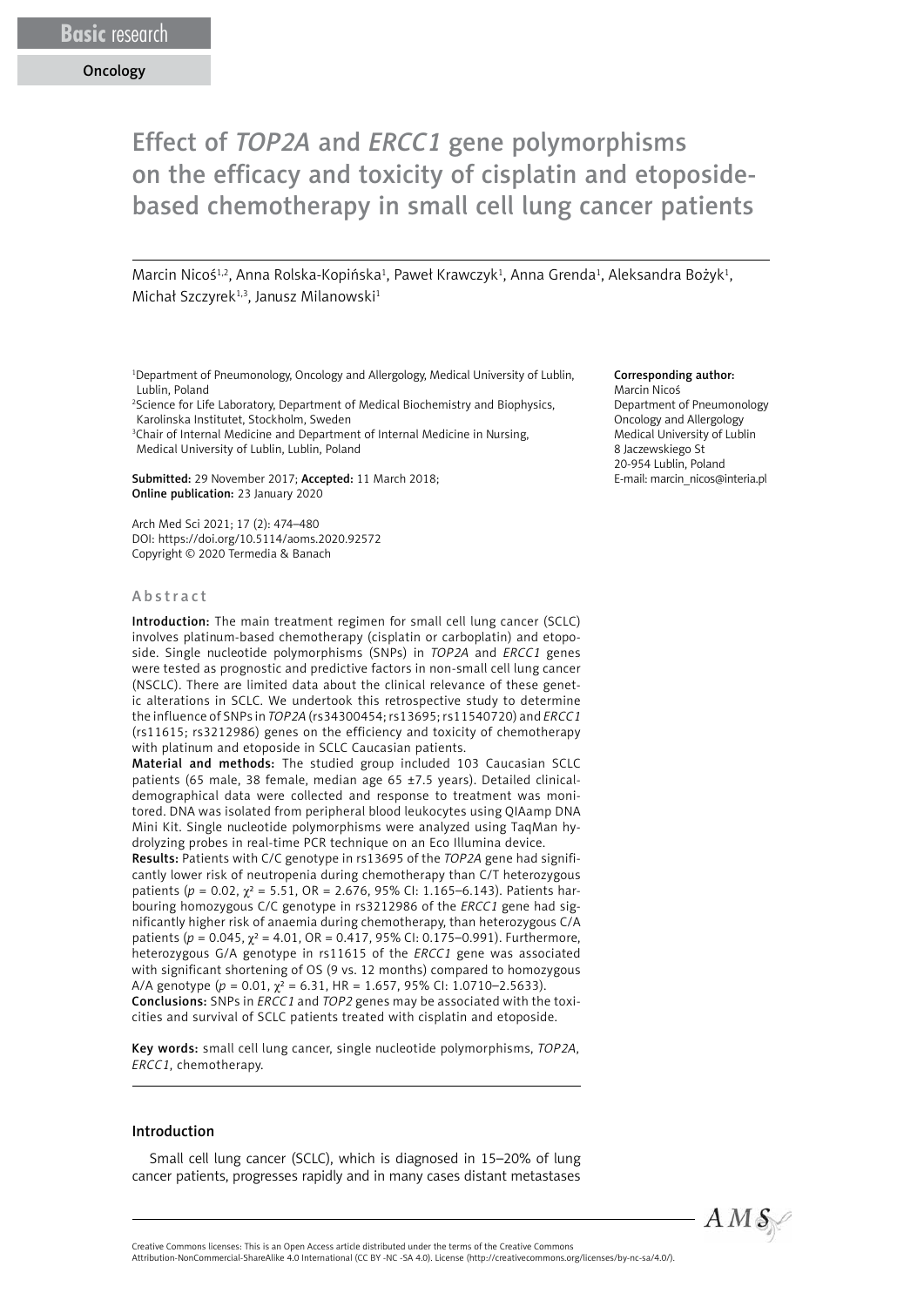# Effect of *TOP2A* and *ERCC1* gene polymorphisms on the efficacy and toxicity of cisplatin and etoposidebased chemotherapy in small cell lung cancer patients

Marcin Nicoś $^{1,2}$ , Anna Rolska-Kopińska $^1$ , Paweł Krawczyk $^1$ , Anna Grenda $^1$ , Aleksandra Bożyk $^1$ , Michał Szczyrek<sup>1,3</sup>, Janusz Milanowski<sup>1</sup>

<sup>1</sup>Department of Pneumonology, Oncology and Allergology, Medical University of Lublin, Lublin, Poland

2 Science for Life Laboratory, Department of Medical Biochemistry and Biophysics, Karolinska Institutet, Stockholm, Sweden

<sup>3</sup>Chair of Internal Medicine and Department of Internal Medicine in Nursing, Medical University of Lublin, Lublin, Poland

Submitted: 29 November 2017; Accepted: 11 March 2018; Online publication: 23 January 2020

Arch Med Sci 2021; 17 (2): 474–480 DOI: https://doi.org/10.5114/aoms.2020.92572 Copyright © 2020 Termedia & Banach

#### Abstract

Introduction: The main treatment regimen for small cell lung cancer (SCLC) involves platinum-based chemotherapy (cisplatin or carboplatin) and etoposide. Single nucleotide polymorphisms (SNPs) in *TOP2A* and *ERCC1* genes were tested as prognostic and predictive factors in non-small cell lung cancer (NSCLC). There are limited data about the clinical relevance of these genetic alterations in SCLC. We undertook this retrospective study to determine the influence of SNPs in *TOP2A* (rs34300454; rs13695; rs11540720) and *ERCC1*  (rs11615; rs3212986) genes on the efficiency and toxicity of chemotherapy with platinum and etoposide in SCLC Caucasian patients.

Material and methods: The studied group included 103 Caucasian SCLC patients (65 male, 38 female, median age 65 ±7.5 years). Detailed clinicaldemographical data were collected and response to treatment was monitored. DNA was isolated from peripheral blood leukocytes using QIAamp DNA Mini Kit. Single nucleotide polymorphisms were analyzed using TaqMan hydrolyzing probes in real-time PCR technique on an Eco Illumina device.

Results: Patients with C/C genotype in rs13695 of the *TOP2A* gene had significantly lower risk of neutropenia during chemotherapy than C/T heterozygous patients (*p* = 0.02, χ² = 5.51, OR = 2.676, 95% CI: 1.165–6.143). Patients harbouring homozygous C/C genotype in rs3212986 of the *ERCC1* gene had significantly higher risk of anaemia during chemotherapy, than heterozygous C/A patients ( $p = 0.045$ ,  $χ² = 4.01$ , OR = 0.417, 95% CI: 0.175-0.991). Furthermore, heterozygous G/A genotype in rs11615 of the *ERCC1* gene was associated with significant shortening of OS (9 vs. 12 months) compared to homozygous A/A genotype (*p* = 0.01, χ² = 6.31, HR = 1.657, 95% CI: 1.0710–2.5633). Conclusions: SNPs in *ERCC1* and *TOP2* genes may be associated with the toxicities and survival of SCLC patients treated with cisplatin and etoposide.

Key words: small cell lung cancer, single nucleotide polymorphisms, *TOP2A*, *ERCC1*, chemotherapy.

#### Introduction

Small cell lung cancer (SCLC), which is diagnosed in 15–20% of lung cancer patients, progresses rapidly and in many cases distant metastases

### Corresponding author:

Marcin Nicoś Department of Pneumonology Oncology and Allergology Medical University of Lublin 8 Jaczewskiego St 20-954 Lublin, Poland E-mail: marcin\_nicos@interia.pl

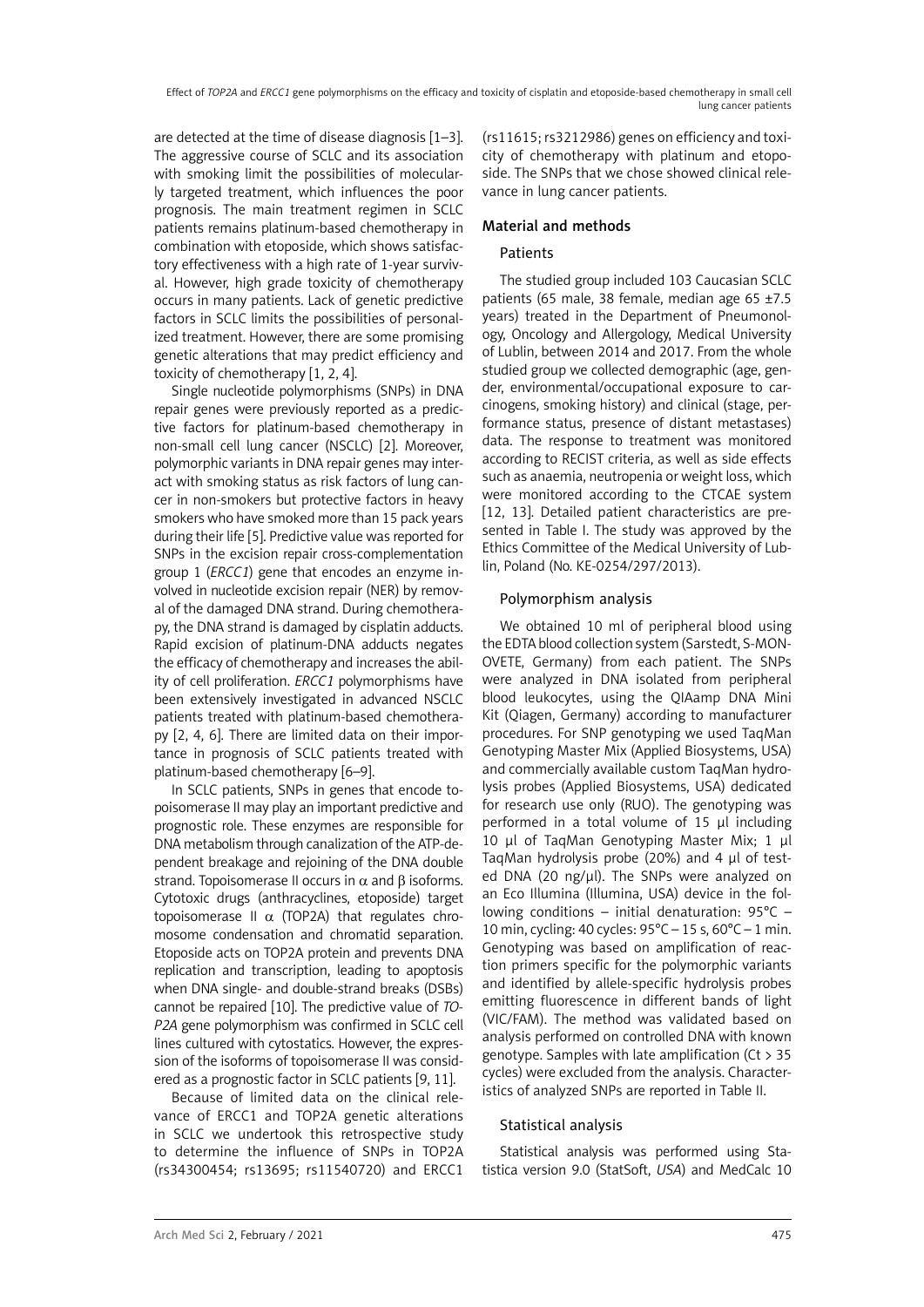are detected at the time of disease diagnosis [1–3]. The aggressive course of SCLC and its association with smoking limit the possibilities of molecularly targeted treatment, which influences the poor prognosis. The main treatment regimen in SCLC patients remains platinum-based chemotherapy in combination with etoposide, which shows satisfactory effectiveness with a high rate of 1-year survival. However, high grade toxicity of chemotherapy occurs in many patients. Lack of genetic predictive factors in SCLC limits the possibilities of personalized treatment. However, there are some promising genetic alterations that may predict efficiency and toxicity of chemotherapy [1, 2, 4].

Single nucleotide polymorphisms (SNPs) in DNA repair genes were previously reported as a predictive factors for platinum-based chemotherapy in non-small cell lung cancer (NSCLC) [2]. Moreover, polymorphic variants in DNA repair genes may interact with smoking status as risk factors of lung cancer in non-smokers but protective factors in heavy smokers who have smoked more than 15 pack years during their life [5]. Predictive value was reported for SNPs in the excision repair cross-complementation group 1 (*ERCC1*) gene that encodes an enzyme involved in nucleotide excision repair (NER) by removal of the damaged DNA strand. During chemotherapy, the DNA strand is damaged by cisplatin adducts. Rapid excision of platinum-DNA adducts negates the efficacy of chemotherapy and increases the ability of cell proliferation. *ERCC1* polymorphisms have been extensively investigated in advanced NSCLC patients treated with platinum-based chemotherapy [2, 4, 6]. There are limited data on their importance in prognosis of SCLC patients treated with platinum-based chemotherapy [6–9].

In SCLC patients, SNPs in genes that encode topoisomerase II may play an important predictive and prognostic role. These enzymes are responsible for DNA metabolism through canalization of the ATP-dependent breakage and rejoining of the DNA double strand. Topoisomerase II occurs in  $\alpha$  and B isoforms. Cytotoxic drugs (anthracyclines, etoposide) target topoisomerase II  $\alpha$  (TOP2A) that regulates chromosome condensation and chromatid separation. Etoposide acts on TOP2A protein and prevents DNA replication and transcription, leading to apoptosis when DNA single- and double-strand breaks (DSBs) cannot be repaired [10]. The predictive value of *TO-P2A* gene polymorphism was confirmed in SCLC cell lines cultured with cytostatics. However, the expression of the isoforms of topoisomerase II was considered as a prognostic factor in SCLC patients [9, 11].

Because of limited data on the clinical relevance of ERCC1 and TOP2A genetic alterations in SCLC we undertook this retrospective study to determine the influence of SNPs in TOP2A (rs34300454; rs13695; rs11540720) and ERCC1

(rs11615; rs3212986) genes on efficiency and toxicity of chemotherapy with platinum and etoposide. The SNPs that we chose showed clinical relevance in lung cancer patients.

## Material and methods

## Patients

The studied group included 103 Caucasian SCLC patients (65 male, 38 female, median age 65 ±7.5 years) treated in the Department of Pneumonology, Oncology and Allergology, Medical University of Lublin, between 2014 and 2017. From the whole studied group we collected demographic (age, gender, environmental/occupational exposure to carcinogens, smoking history) and clinical (stage, performance status, presence of distant metastases) data. The response to treatment was monitored according to RECIST criteria, as well as side effects such as anaemia, neutropenia or weight loss, which were monitored according to the CTCAE system [12, 13]. Detailed patient characteristics are presented in Table I. The study was approved by the Ethics Committee of the Medical University of Lublin, Poland (No. KE-0254/297/2013).

## Polymorphism analysis

We obtained 10 ml of peripheral blood using the EDTA blood collection system (Sarstedt, S-MON-OVETE, Germany) from each patient. The SNPs were analyzed in DNA isolated from peripheral blood leukocytes, using the QIAamp DNA Mini Kit (Qiagen, Germany) according to manufacturer procedures. For SNP genotyping we used TaqMan Genotyping Master Mix (Applied Biosystems, USA) and commercially available custom TaqMan hydrolysis probes (Applied Biosystems, USA) dedicated for research use only (RUO). The genotyping was performed in a total volume of 15 µl including 10 µl of TaqMan Genotyping Master Mix; 1 µl TaqMan hydrolysis probe (20%) and 4 µl of tested DNA (20 ng/µl). The SNPs were analyzed on an Eco Illumina (Illumina, USA) device in the following conditions – initial denaturation: 95°C – 10 min, cycling: 40 cycles: 95°C – 15 s, 60°C – 1 min. Genotyping was based on amplification of reaction primers specific for the polymorphic variants and identified by allele-specific hydrolysis probes emitting fluorescence in different bands of light (VIC/FAM). The method was validated based on analysis performed on controlled DNA with known genotype. Samples with late amplification ( $Ct > 35$ ) cycles) were excluded from the analysis. Characteristics of analyzed SNPs are reported in Table II.

## Statistical analysis

Statistical analysis was performed using Statistica version 9.0 (StatSoft, *USA*) and MedCalc 10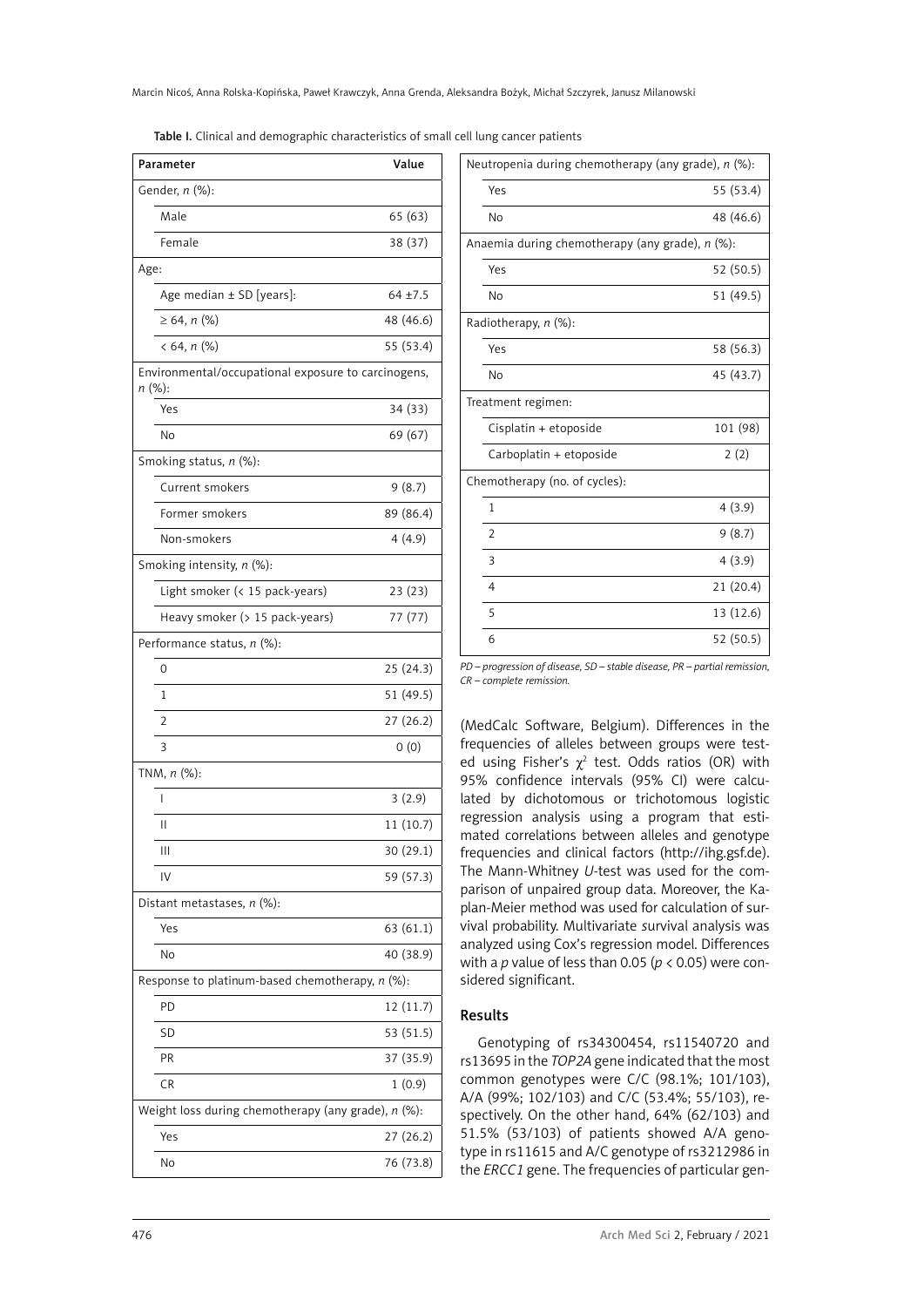| Parameter                                                     | Value      |
|---------------------------------------------------------------|------------|
| Gender, n (%):                                                |            |
| Male                                                          | 65 (63)    |
| Female                                                        | 38 (37)    |
| Age:                                                          |            |
| Age median ± SD [years]:                                      | $64 + 7.5$ |
| $\geq 64, n$ (%)                                              | 48 (46.6)  |
| $< 64, n$ (%)                                                 | 55 (53.4)  |
| Environmental/occupational exposure to carcinogens,<br>n (%): |            |
| Yes                                                           | 34 (33)    |
| No                                                            | 69 (67)    |
| Smoking status, n (%):                                        |            |
| Current smokers                                               | 9(8.7)     |
| Former smokers                                                | 89 (86.4)  |
| Non-smokers                                                   | 4(4.9)     |
| Smoking intensity, n (%):                                     |            |
| Light smoker (< 15 pack-years)                                | 23 (23)    |
| Heavy smoker (> 15 pack-years)                                | 77 (77)    |
| Performance status, n (%):                                    |            |
| 0                                                             | 25(24.3)   |
| 1                                                             | 51 (49.5)  |
| 2                                                             | 27 (26.2)  |
| 3                                                             | 0(0)       |
| TNM, $n$ (%):                                                 |            |
| I                                                             | 3(2.9)     |
| Ш                                                             | 11 (10.7)  |
| Ш                                                             | 30 (29.1)  |
| IV                                                            | 59 (57.3)  |
| Distant metastases, n (%):                                    |            |
| Yes                                                           | 63 (61.1)  |
| No                                                            | 40 (38.9)  |
| Response to platinum-based chemotherapy, $n$ (%):             |            |
| PD                                                            | 12 (11.7)  |
| SD                                                            | 53 (51.5)  |
| PR                                                            | 37 (35.9)  |
| <b>CR</b>                                                     | 1(0.9)     |
| Weight loss during chemotherapy (any grade), $n$ (%):         |            |
| Yes                                                           | 27(26.2)   |
| No                                                            | 76 (73.8)  |

|  |  |  | Table I. Clinical and demographic characteristics of small cell lung cancer patients |  |  |  |
|--|--|--|--------------------------------------------------------------------------------------|--|--|--|
|--|--|--|--------------------------------------------------------------------------------------|--|--|--|

| Neutropenia during chemotherapy (any grade), n (%): |           |  |  |  |  |
|-----------------------------------------------------|-----------|--|--|--|--|
| Yes                                                 | 55 (53.4) |  |  |  |  |
| No                                                  | 48 (46.6) |  |  |  |  |
| Anaemia during chemotherapy (any grade), n (%):     |           |  |  |  |  |
| Yes                                                 | 52 (50.5) |  |  |  |  |
| No                                                  | 51 (49.5) |  |  |  |  |
| Radiotherapy, n (%):                                |           |  |  |  |  |
| Yes                                                 | 58 (56.3) |  |  |  |  |
| No                                                  | 45 (43.7) |  |  |  |  |
| Treatment regimen:                                  |           |  |  |  |  |
| Cisplatin + etoposide                               | 101 (98)  |  |  |  |  |
| Carboplatin + etoposide                             | 2(2)      |  |  |  |  |
| Chemotherapy (no. of cycles):                       |           |  |  |  |  |
| $\overline{1}$                                      | 4(3.9)    |  |  |  |  |
| $\overline{2}$                                      | 9(8.7)    |  |  |  |  |
| 3                                                   | 4(3.9)    |  |  |  |  |
| 4                                                   | 21(20.4)  |  |  |  |  |
| 5                                                   | 13 (12.6) |  |  |  |  |
| 6                                                   | 52 (50.5) |  |  |  |  |

*PD – progression of disease, SD – stable disease, PR – partial remission, CR – complete remission.*

(MedCalc Software, Belgium). Differences in the frequencies of alleles between groups were tested using Fisher's  $\chi^2$  test. Odds ratios (OR) with 95% confidence intervals (95% CI) were calculated by dichotomous or trichotomous logistic regression analysis using a program that estimated correlations between alleles and genotype frequencies and clinical factors (http://ihg.gsf.de). The Mann-Whitney *U*-test was used for the comparison of unpaired group data. Moreover, the Kaplan-Meier method was used for calculation of survival probability. Multivariate *s*urvival analysis was analyzed using Cox's regression model. Differences with a *p* value of less than 0.05 (*p* < 0.05) were considered significant.

## Results

Genotyping of rs34300454, rs11540720 and rs13695 in the *TOP2A* gene indicated that the most common genotypes were C/C (98.1%; 101/103), A/A (99%; 102/103) and C/C (53.4%; 55/103), respectively. On the other hand, 64% (62/103) and 51.5% (53/103) of patients showed A/A genotype in rs11615 and A/C genotype of rs3212986 in the *ERCC1* gene. The frequencies of particular gen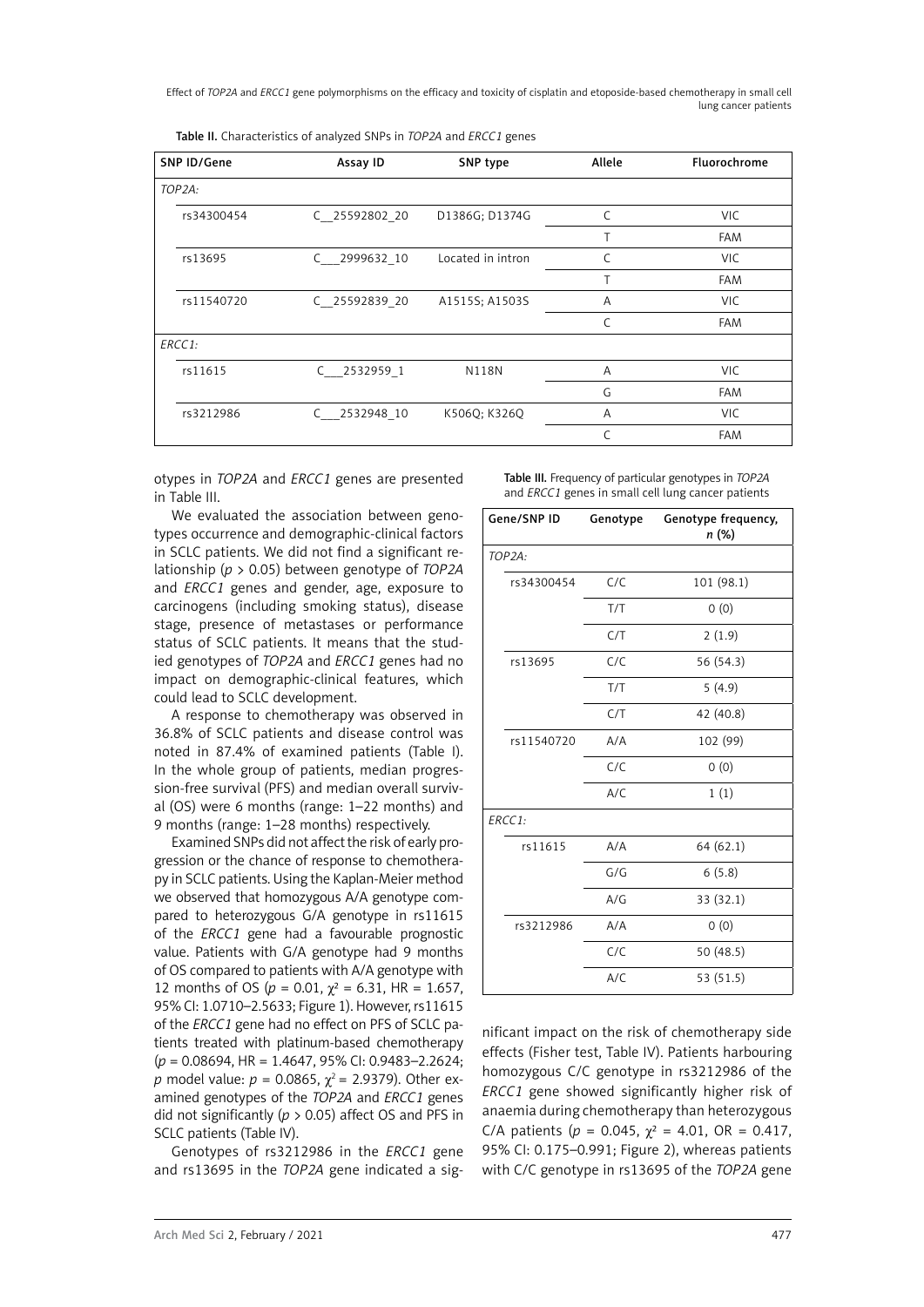Effect of *TOP2A* and *ERCC1* gene polymorphisms on the efficacy and toxicity of cisplatin and etoposide-based chemotherapy in small cell lung cancer patients

| Table II. Characteristics of analyzed SNPs in TOP2A and ERCC1 genes |  |
|---------------------------------------------------------------------|--|
|---------------------------------------------------------------------|--|

| SNP ID/Gene         | Assay ID        | SNP type          | Allele | Fluorochrome |
|---------------------|-----------------|-------------------|--------|--------------|
| TOP <sub>2A</sub> : |                 |                   |        |              |
| rs34300454          | C 25592802 20   | D1386G; D1374G    | C      | VIC.         |
|                     |                 |                   | Т      | <b>FAM</b>   |
| rs13695             | 2999632 10<br>C | Located in intron |        | <b>VIC</b>   |
|                     |                 |                   | T      | <b>FAM</b>   |
| rs11540720          | C 25592839 20   | A1515S; A1503S    | A      | <b>VIC</b>   |
|                     |                 |                   |        | <b>FAM</b>   |
| ERCC1:              |                 |                   |        |              |
| rs11615             | $C$ 2532959 1   | <b>N118N</b>      | A      | <b>VIC</b>   |
|                     |                 |                   | G      | <b>FAM</b>   |
| rs3212986           | 2532948 10<br>C | K5060; K3260      | A      | VIC.         |
|                     |                 |                   | C      | <b>FAM</b>   |

otypes in *TOP2A* and *ERCC1* genes are presented in Table III.

We evaluated the association between genotypes occurrence and demographic-clinical factors in SCLC patients. We did not find a significant relationship (*p* > 0.05) between genotype of *TOP2A* and *ERCC1* genes and gender, age, exposure to carcinogens (including smoking status), disease stage, presence of metastases or performance status of SCLC patients. It means that the studied genotypes of *TOP2A* and *ERCC1* genes had no impact on demographic-clinical features, which could lead to SCLC development.

A response to chemotherapy was observed in 36.8% of SCLC patients and disease control was noted in 87.4% of examined patients (Table I). In the whole group of patients, median progression-free survival (PFS) and median overall survival (OS) were 6 months (range: 1–22 months) and 9 months (range: 1–28 months) respectively.

Examined SNPs did not affect the risk of early progression or the chance of response to chemotherapy in SCLC patients. Using the Kaplan-Meier method we observed that homozygous A/A genotype compared to heterozygous G/A genotype in rs11615 of the *ERCC1* gene had a favourable prognostic value. Patients with G/A genotype had 9 months of OS compared to patients with A/A genotype with 12 months of OS ( $p = 0.01$ ,  $\chi^2 = 6.31$ , HR = 1.657, 95% CI: 1.0710–2.5633; Figure 1). However, rs11615 of the *ERCC1* gene had no effect on PFS of SCLC patients treated with platinum-based chemotherapy (*p* = 0.08694, HR = 1.4647, 95% CI: 0.9483–2.2624; *p* model value:  $p = 0.0865$ ,  $\chi^2 = 2.9379$ ). Other examined genotypes of the *TOP2A* and *ERCC1* genes did not significantly (*p* > 0.05) affect OS and PFS in SCLC patients (Table IV).

Genotypes of rs3212986 in the *ERCC1* gene and rs13695 in the *TOP2A* gene indicated a sigTable III. Frequency of particular genotypes in *TOP2A* and *ERCC1* genes in small cell lung cancer patients

| Gene/SNP ID         | Genotype | Genotype frequency,<br>n (%) |
|---------------------|----------|------------------------------|
| TOP <sub>2A</sub> : |          |                              |
| rs34300454          | C/C      | 101 (98.1)                   |
|                     | T/T      | 0(0)                         |
|                     | C/T      | 2(1.9)                       |
| rs13695             | C/C      | 56 (54.3)                    |
|                     | T/T      | 5(4.9)                       |
|                     | C/T      | 42 (40.8)                    |
| rs11540720          | A/A      | 102 (99)                     |
|                     | C/C      | 0(0)                         |
|                     | A/C      | 1(1)                         |
| ERCCI:              |          |                              |
| rs11615             | A/A      | 64(62.1)                     |
|                     | G/G      | 6(5.8)                       |
|                     | A/G      | 33 (32.1)                    |
| rs3212986           | A/A      | 0(0)                         |
|                     | C/C      | 50 (48.5)                    |
|                     | A/C      | 53 (51.5)                    |
|                     |          |                              |

nificant impact on the risk of chemotherapy side effects (Fisher test, Table IV). Patients harbouring homozygous C/C genotype in rs3212986 of the *ERCC1* gene showed significantly higher risk of anaemia during chemotherapy than heterozygous C/A patients ( $p = 0.045$ ,  $\gamma^2 = 4.01$ , OR = 0.417, 95% CI: 0.175–0.991; Figure 2), whereas patients with C/C genotype in rs13695 of the *TOP2A* gene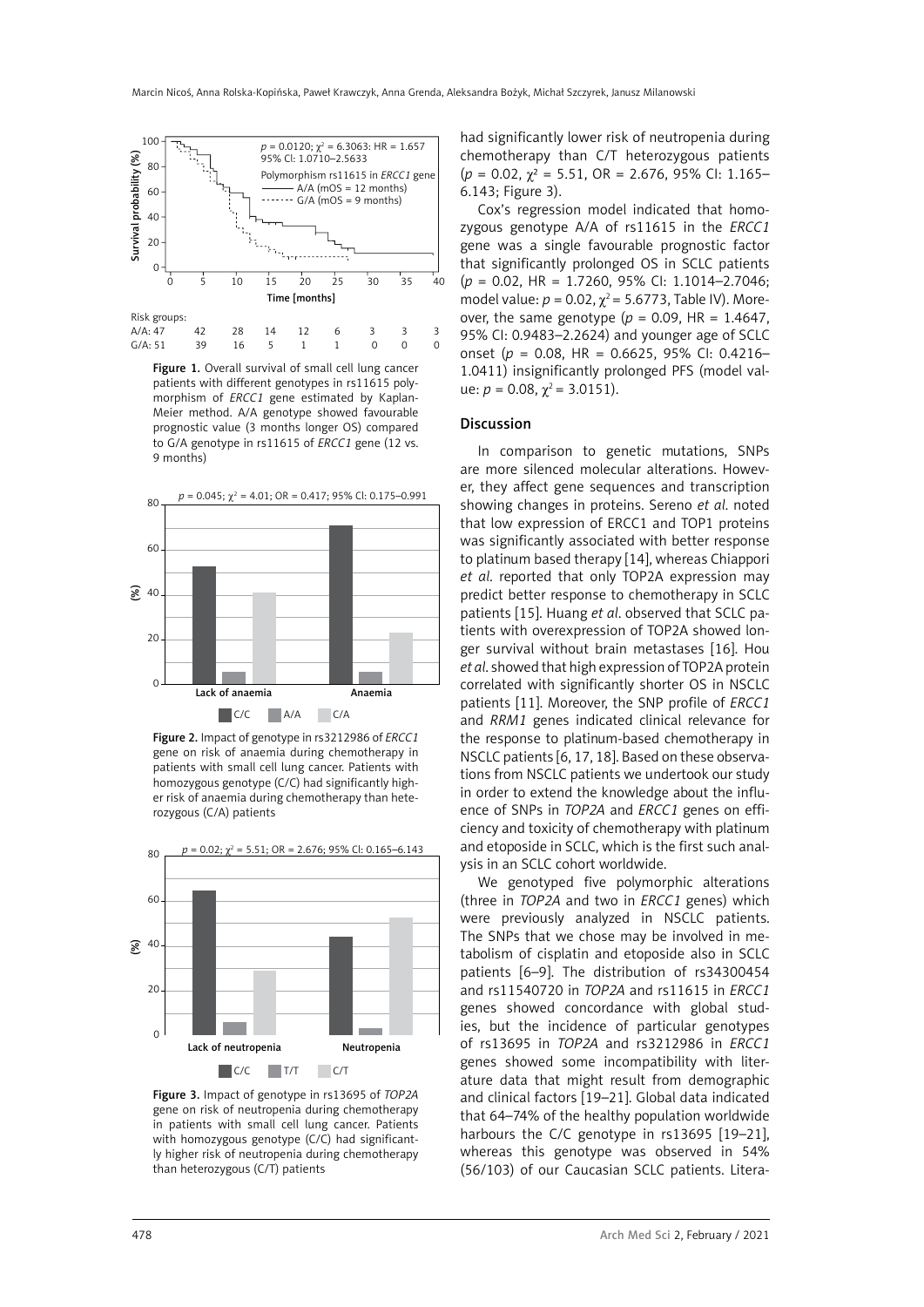

Figure 1. Overall survival of small cell lung cancer patients with different genotypes in rs11615 polymorphism of *ERCC1* gene estimated by Kaplan-Meier method. A/A genotype showed favourable prognostic value (3 months longer OS) compared to G/A genotype in rs11615 of *ERCC1* gene (12 vs. 9 months)



Figure 2. Impact of genotype in rs3212986 of *ERCC1* gene on risk of anaemia during chemotherapy in patients with small cell lung cancer. Patients with homozygous genotype (C/C) had significantly higher risk of anaemia during chemotherapy than heterozygous (C/A) patients



Figure 3. Impact of genotype in rs13695 of *TOP2A* gene on risk of neutropenia during chemotherapy in patients with small cell lung cancer. Patients with homozygous genotype (C/C) had significantly higher risk of neutropenia during chemotherapy than heterozygous (C/T) patients

had significantly lower risk of neutropenia during chemotherapy than C/T heterozygous patients (*p* = 0.02, χ² = 5.51, OR = 2.676, 95% CI: 1.165– 6.143; Figure 3).

Cox's regression model indicated that homozygous genotype A/A of rs11615 in the *ERCC1* gene was a single favourable prognostic factor that significantly prolonged OS in SCLC patients (*p* = 0.02, HR = 1.7260, 95% CI: 1.1014–2.7046; model value:  $p = 0.02$ ,  $χ² = 5.6773$ , Table IV). Moreover, the same genotype ( $p = 0.09$ , HR = 1.4647, 95% CI: 0.9483–2.2624) and younger age of SCLC onset (*p*  = 0.08, HR = 0.6625, 95% CI: 0.4216– 1.0411) insignificantly prolonged PFS (model value:  $p = 0.08$ ,  $\chi^2 = 3.0151$ ).

#### Discussion

In comparison to genetic mutations, SNPs are more silenced molecular alterations. However, they affect gene sequences and transcription showing changes in proteins. Sereno *et al*. noted that low expression of ERCC1 and TOP1 proteins was significantly associated with better response to platinum based therapy [14], whereas Chiappori *et al*. reported that only TOP2A expression may predict better response to chemotherapy in SCLC patients [15]. Huang *et al*. observed that SCLC patients with overexpression of TOP2A showed longer survival without brain metastases [16]. Hou *et al*. showed that high expression of TOP2A protein correlated with significantly shorter OS in NSCLC patients [11]. Moreover, the SNP profile of *ERCC1* and *RRM1* genes indicated clinical relevance for the response to platinum-based chemotherapy in NSCLC patients [6, 17, 18]. Based on these observations from NSCLC patients we undertook our study in order to extend the knowledge about the influence of SNPs in *TOP2A* and *ERCC1* genes on efficiency and toxicity of chemotherapy with platinum and etoposide in SCLC, which is the first such analysis in an SCLC cohort worldwide.

We genotyped five polymorphic alterations (three in *TOP2A* and two in *ERCC1* genes) which were previously analyzed in NSCLC patients. The SNPs that we chose may be involved in metabolism of cisplatin and etoposide also in SCLC patients [6–9]. The distribution of rs34300454 and rs11540720 in *TOP2A* and rs11615 in *ERCC1* genes showed concordance with global studies, but the incidence of particular genotypes of rs13695 in *TOP2A* and rs3212986 in *ERCC1* genes showed some incompatibility with literature data that might result from demographic and clinical factors [19–21]. Global data indicated that 64–74% of the healthy population worldwide harbours the C/C genotype in rs13695 [19-21], whereas this genotype was observed in 54% (56/103) of our Caucasian SCLC patients. Litera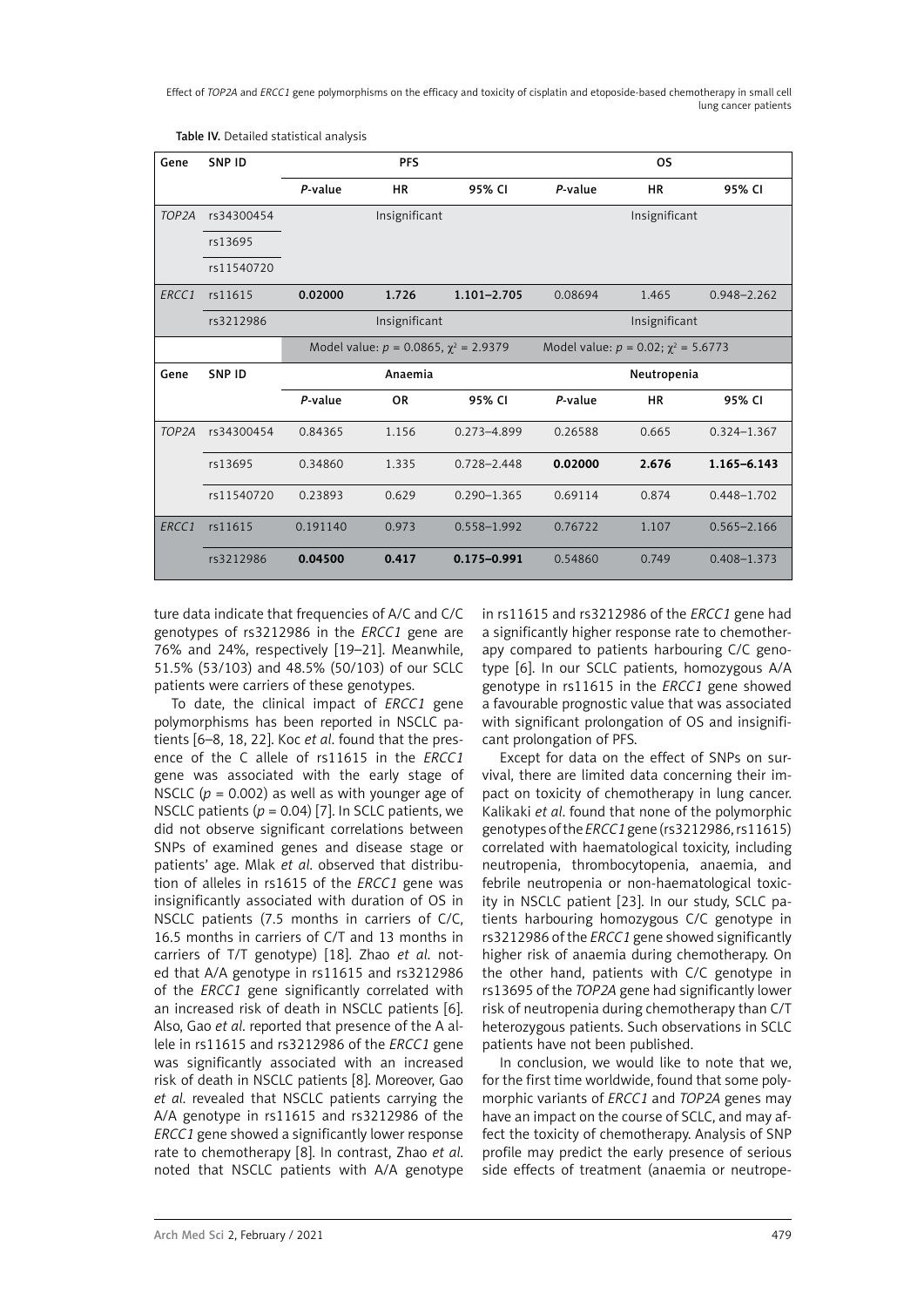Effect of *TOP2A* and *ERCC1* gene polymorphisms on the efficacy and toxicity of cisplatin and etoposide-based chemotherapy in small cell lung cancer patients

| Gene               | <b>SNP ID</b> | <b>PFS</b><br><b>OS</b>                       |               |                 |                                             |               |                 |
|--------------------|---------------|-----------------------------------------------|---------------|-----------------|---------------------------------------------|---------------|-----------------|
|                    |               | P-value                                       | <b>HR</b>     | 95% CI          | P-value                                     | <b>HR</b>     | 95% CI          |
| TOP <sub>2</sub> A | rs34300454    |                                               | Insignificant |                 |                                             | Insignificant |                 |
|                    | rs13695       |                                               |               |                 |                                             |               |                 |
|                    | rs11540720    |                                               |               |                 |                                             |               |                 |
| ERCC1              | rs11615       | 0.02000                                       | 1.726         | $1.101 - 2.705$ | 0.08694                                     | 1.465         | $0.948 - 2.262$ |
|                    | rs3212986     | Insignificant<br>Insignificant                |               |                 |                                             |               |                 |
|                    |               | Model value: $p = 0.0865$ , $\chi^2 = 2.9379$ |               |                 | Model value: $p = 0.02$ ; $\chi^2 = 5.6773$ |               |                 |
| Gene               | SNP ID        | Anaemia                                       |               | Neutropenia     |                                             |               |                 |
|                    |               | P-value                                       | <b>OR</b>     | 95% CI          | P-value                                     | <b>HR</b>     | 95% CI          |
| TOP <sub>2</sub> A | rs34300454    | 0.84365                                       | 1.156         | $0.273 - 4.899$ | 0.26588                                     | 0.665         | $0.324 - 1.367$ |
|                    | rs13695       | 0.34860                                       | 1.335         | $0.728 - 2.448$ | 0.02000                                     | 2.676         | 1.165-6.143     |
|                    | rs11540720    | 0.23893                                       | 0.629         | $0.290 - 1.365$ | 0.69114                                     | 0.874         | 0.448-1.702     |
| ERCC <sub>1</sub>  | rs11615       | 0.191140                                      | 0.973         | $0.558 - 1.992$ | 0.76722                                     | 1.107         | $0.565 - 2.166$ |
|                    | rs3212986     | 0.04500                                       | 0.417         | $0.175 - 0.991$ | 0.54860                                     | 0.749         | $0.408 - 1.373$ |

Table IV. Detailed statistical analysis

ture data indicate that frequencies of A/C and C/C genotypes of rs3212986 in the *ERCC1* gene are 76% and 24%, respectively [19–21]. Meanwhile, 51.5% (53/103) and 48.5% (50/103) of our SCLC patients were carriers of these genotypes.

To date, the clinical impact of *ERCC1* gene polymorphisms has been reported in NSCLC patients [6–8, 18, 22]. Koc *et al*. found that the presence of the C allele of rs11615 in the *ERCC1* gene was associated with the early stage of NSCLC  $(p = 0.002)$  as well as with younger age of NSCLC patients (*p* = 0.04) [7]. In SCLC patients, we did not observe significant correlations between SNPs of examined genes and disease stage or patients' age. Mlak *et al*. observed that distribution of alleles in rs1615 of the *ERCC1* gene was insignificantly associated with duration of OS in NSCLC patients (7.5 months in carriers of C/C, 16.5 months in carriers of C/T and 13 months in carriers of T/T genotype) [18]. Zhao *et al*. noted that A/A genotype in rs11615 and rs3212986 of the *ERCC1* gene significantly correlated with an increased risk of death in NSCLC patients [6]. Also, Gao *et al*. reported that presence of the A allele in rs11615 and rs3212986 of the *ERCC1* gene was significantly associated with an increased risk of death in NSCLC patients [8]. Moreover, Gao *et al*. revealed that NSCLC patients carrying the A/A genotype in rs11615 and rs3212986 of the *ERCC1* gene showed a significantly lower response rate to chemotherapy [8]. In contrast, Zhao *et al*. noted that NSCLC patients with A/A genotype in rs11615 and rs3212986 of the *ERCC1* gene had a significantly higher response rate to chemotherapy compared to patients harbouring C/C genotype [6]. In our SCLC patients, homozygous A/A genotype in rs11615 in the *ERCC1* gene showed a favourable prognostic value that was associated with significant prolongation of OS and insignificant prolongation of PFS.

Except for data on the effect of SNPs on survival, there are limited data concerning their impact on toxicity of chemotherapy in lung cancer. Kalikaki *et al*. found that none of the polymorphic genotypes of the *ERCC1* gene (rs3212986, rs11615) correlated with haematological toxicity, including neutropenia, thrombocytopenia, anaemia, and febrile neutropenia or non-haematological toxicity in NSCLC patient [23]. In our study, SCLC patients harbouring homozygous C/C genotype in rs3212986 of the *ERCC1* gene showed significantly higher risk of anaemia during chemotherapy. On the other hand, patients with C/C genotype in rs13695 of the *TOP2A* gene had significantly lower risk of neutropenia during chemotherapy than C/T heterozygous patients. Such observations in SCLC patients have not been published.

In conclusion, we would like to note that we, for the first time worldwide, found that some polymorphic variants of *ERCC1* and *TOP2A* genes may have an impact on the course of SCLC, and may affect the toxicity of chemotherapy. Analysis of SNP profile may predict the early presence of serious side effects of treatment (anaemia or neutrope